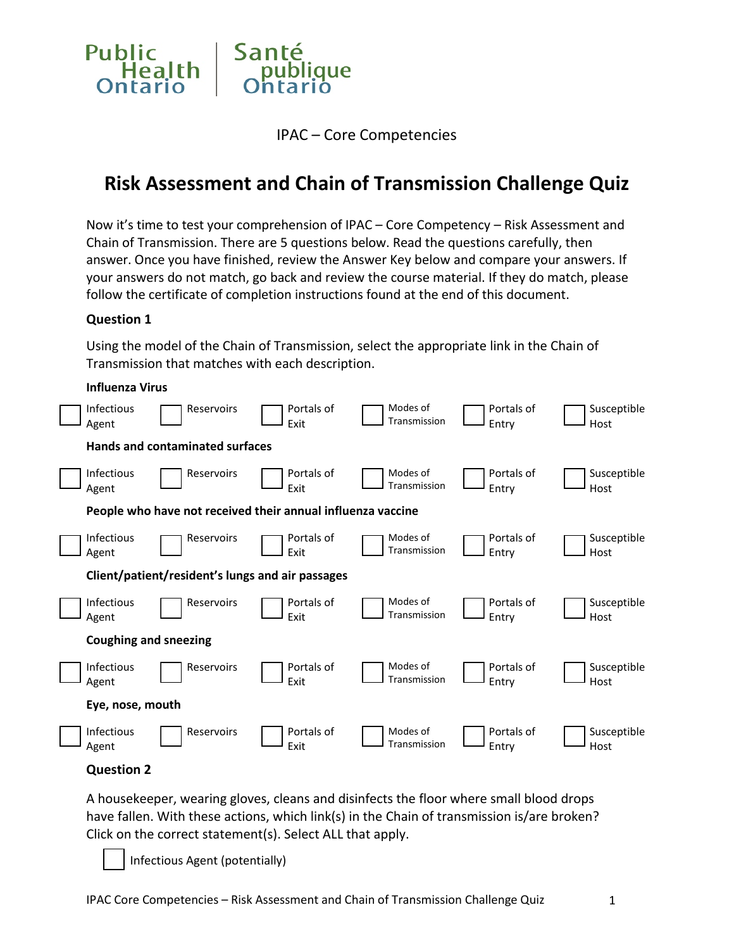

IPAC – Core Competencies

# **Risk Assessment and Chain of Transmission Challenge Quiz**

Now it's time to test your comprehension of IPAC – Core Competency – Risk Assessment and Chain of Transmission. There are 5 questions below. Read the questions carefully, then answer. Once you have finished, review the Answer Key below and compare your answers. If your answers do not match, go back and review the course material. If they do match, please follow the certificate of completion instructions found at the end of this document.

#### **Question 1**

Using the model of the Chain of Transmission, select the appropriate link in the Chain of Transmission that matches with each description.

#### **Influenza Virus**

| <b>Infectious</b><br>Agent   | Reservoirs                                       | Portals of<br>Exit                                          | Modes of<br>Transmission | Portals of<br>Entry | Susceptible<br>Host |
|------------------------------|--------------------------------------------------|-------------------------------------------------------------|--------------------------|---------------------|---------------------|
|                              | Hands and contaminated surfaces                  |                                                             |                          |                     |                     |
| <b>Infectious</b><br>Agent   | Reservoirs                                       | Portals of<br>Exit                                          | Modes of<br>Transmission | Portals of<br>Entry | Susceptible<br>Host |
|                              |                                                  | People who have not received their annual influenza vaccine |                          |                     |                     |
| <b>Infectious</b><br>Agent   | Reservoirs                                       | Portals of<br>Exit                                          | Modes of<br>Transmission | Portals of<br>Entry | Susceptible<br>Host |
|                              | Client/patient/resident's lungs and air passages |                                                             |                          |                     |                     |
| <b>Infectious</b><br>Agent   | Reservoirs                                       | Portals of<br>Exit                                          | Modes of<br>Transmission | Portals of<br>Entry | Susceptible<br>Host |
| <b>Coughing and sneezing</b> |                                                  |                                                             |                          |                     |                     |
| <b>Infectious</b><br>Agent   | Reservoirs                                       | Portals of<br>Exit                                          | Modes of<br>Transmission | Portals of<br>Entry | Susceptible<br>Host |
| Eye, nose, mouth             |                                                  |                                                             |                          |                     |                     |
| <b>Infectious</b><br>Agent   | Reservoirs                                       | Portals of<br>Exit                                          | Modes of<br>Transmission | Portals of<br>Entry | Susceptible<br>Host |

#### **Question 2**

A housekeeper, wearing gloves, cleans and disinfects the floor where small blood drops have fallen. With these actions, which link(s) in the Chain of transmission is/are broken? Click on the correct statement(s). Select ALL that apply.

Infectious Agent (potentially)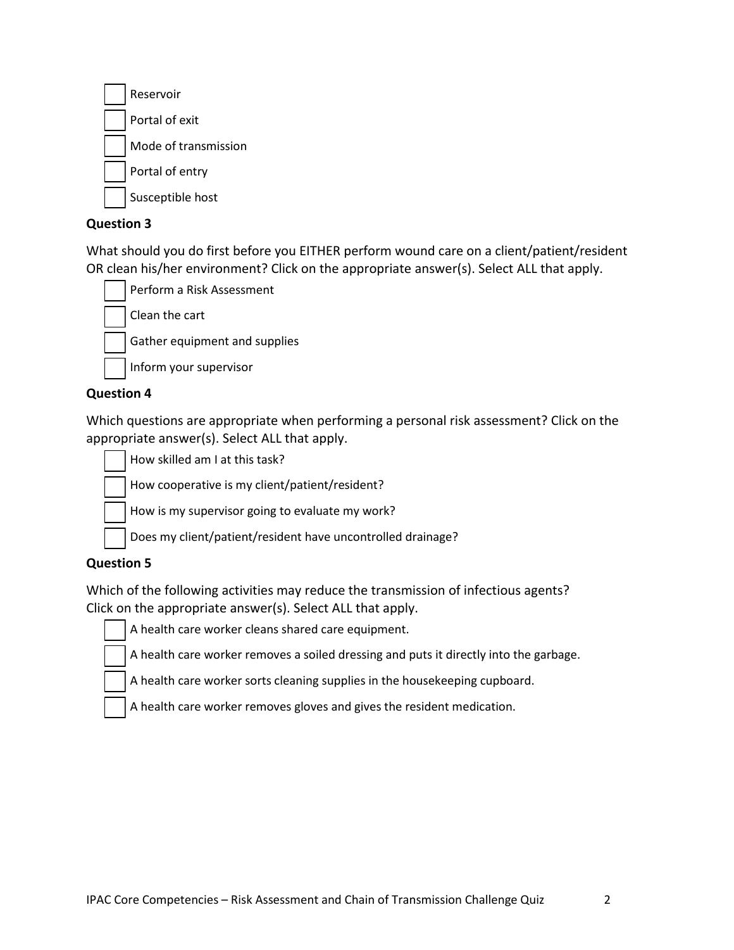| Reservoir            |
|----------------------|
| Portal of exit       |
| Mode of transmission |
| Portal of entry      |
| Susceptible host     |

#### **Question 3**

What should you do first before you EITHER perform wound care on a client/patient/resident OR clean his/her environment? Click on the appropriate answer(s). Select ALL that apply.

Perform a Risk Assessment Clean the cart

Gather equipment and supplies

Inform your supervisor

#### **Question 4**

Which questions are appropriate when performing a personal risk assessment? Click on the appropriate answer(s). Select ALL that apply.

How skilled am I at this task?

How cooperative is my client/patient/resident?

How is my supervisor going to evaluate my work?

Does my client/patient/resident have uncontrolled drainage?

#### **Question 5**

Which of the following activities may reduce the transmission of infectious agents? Click on the appropriate answer(s). Select ALL that apply.

A health care worker cleans shared care equipment.

A health care worker removes a soiled dressing and puts it directly into the garbage.

A health care worker sorts cleaning supplies in the housekeeping cupboard.

A health care worker removes gloves and gives the resident medication.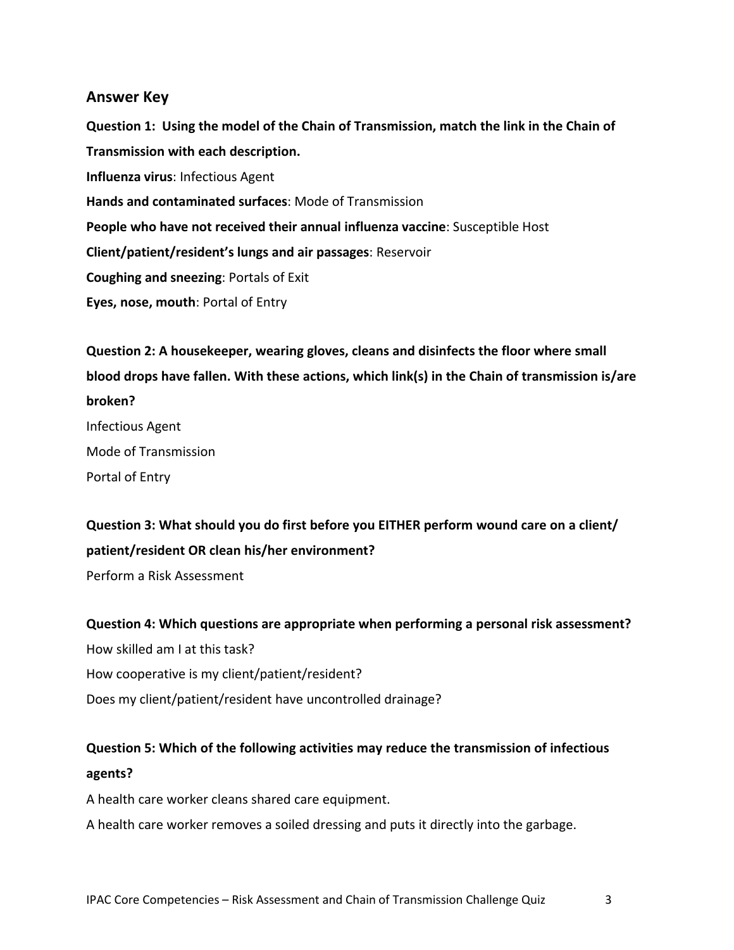#### **Answer Key**

**Question 1: Using the model of the Chain of Transmission, match the link in the Chain of Transmission with each description. Influenza virus**: Infectious Agent **Hands and contaminated surfaces**: Mode of Transmission **People who have not received their annual influenza vaccine**: Susceptible Host **Client/patient/resident's lungs and air passages**: Reservoir **Coughing and sneezing**: Portals of Exit **Eyes, nose, mouth**: Portal of Entry

**Question 2: A housekeeper, wearing gloves, cleans and disinfects the floor where small blood drops have fallen. With these actions, which link(s) in the Chain of transmission is/are broken?**  Infectious Agent Mode of Transmission Portal of Entry

**Question 3: What should you do first before you EITHER perform wound care on a client/ patient/resident OR clean his/her environment?** 

Perform a Risk Assessment

**Question 4: Which questions are appropriate when performing a personal risk assessment?**  How skilled am I at this task? How cooperative is my client/patient/resident? Does my client/patient/resident have uncontrolled drainage?

# **Question 5: Which of the following activities may reduce the transmission of infectious**

## **agents?**

A health care worker cleans shared care equipment.

A health care worker removes a soiled dressing and puts it directly into the garbage.